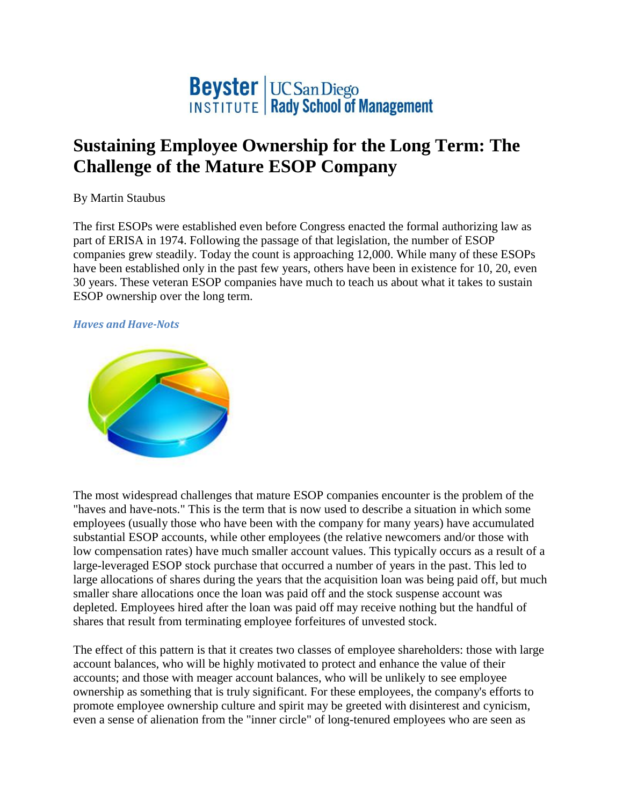

## **Sustaining Employee Ownership for the Long Term: The Challenge of the Mature ESOP Company**

By Martin Staubus

The first ESOPs were established even before Congress enacted the formal authorizing law as part of ERISA in 1974. Following the passage of that legislation, the number of ESOP companies grew steadily. Today the count is approaching 12,000. While many of these ESOPs have been established only in the past few years, others have been in existence for 10, 20, even 30 years. These veteran ESOP companies have much to teach us about what it takes to sustain ESOP ownership over the long term.

## *Haves and Have-Nots*



The most widespread challenges that mature ESOP companies encounter is the problem of the "haves and have-nots." This is the term that is now used to describe a situation in which some employees (usually those who have been with the company for many years) have accumulated substantial ESOP accounts, while other employees (the relative newcomers and/or those with low compensation rates) have much smaller account values. This typically occurs as a result of a large-leveraged ESOP stock purchase that occurred a number of years in the past. This led to large allocations of shares during the years that the acquisition loan was being paid off, but much smaller share allocations once the loan was paid off and the stock suspense account was depleted. Employees hired after the loan was paid off may receive nothing but the handful of shares that result from terminating employee forfeitures of unvested stock.

The effect of this pattern is that it creates two classes of employee shareholders: those with large account balances, who will be highly motivated to protect and enhance the value of their accounts; and those with meager account balances, who will be unlikely to see employee ownership as something that is truly significant. For these employees, the company's efforts to promote employee ownership culture and spirit may be greeted with disinterest and cynicism, even a sense of alienation from the "inner circle" of long-tenured employees who are seen as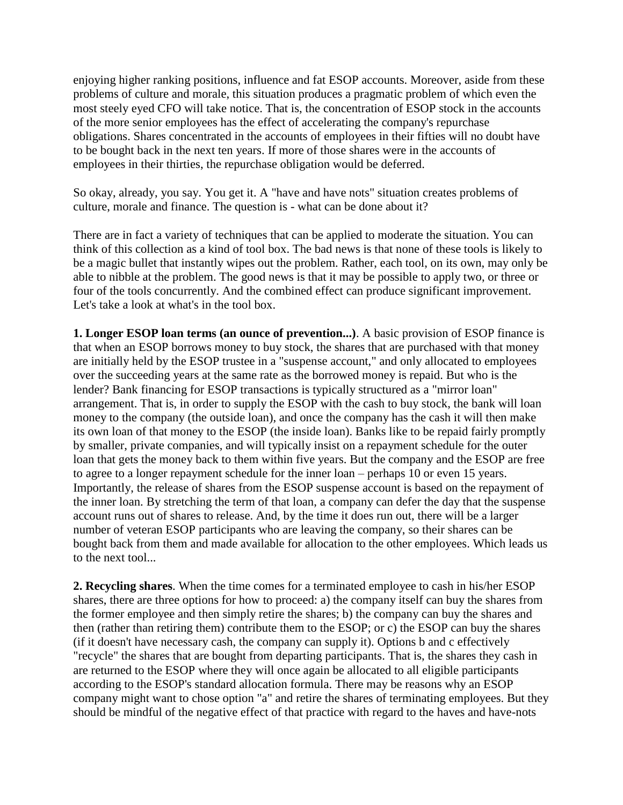enjoying higher ranking positions, influence and fat ESOP accounts. Moreover, aside from these problems of culture and morale, this situation produces a pragmatic problem of which even the most steely eyed CFO will take notice. That is, the concentration of ESOP stock in the accounts of the more senior employees has the effect of accelerating the company's repurchase obligations. Shares concentrated in the accounts of employees in their fifties will no doubt have to be bought back in the next ten years. If more of those shares were in the accounts of employees in their thirties, the repurchase obligation would be deferred.

So okay, already, you say. You get it. A "have and have nots" situation creates problems of culture, morale and finance. The question is - what can be done about it?

There are in fact a variety of techniques that can be applied to moderate the situation. You can think of this collection as a kind of tool box. The bad news is that none of these tools is likely to be a magic bullet that instantly wipes out the problem. Rather, each tool, on its own, may only be able to nibble at the problem. The good news is that it may be possible to apply two, or three or four of the tools concurrently. And the combined effect can produce significant improvement. Let's take a look at what's in the tool box.

**1. Longer ESOP loan terms (an ounce of prevention...)**. A basic provision of ESOP finance is that when an ESOP borrows money to buy stock, the shares that are purchased with that money are initially held by the ESOP trustee in a "suspense account," and only allocated to employees over the succeeding years at the same rate as the borrowed money is repaid. But who is the lender? Bank financing for ESOP transactions is typically structured as a "mirror loan" arrangement. That is, in order to supply the ESOP with the cash to buy stock, the bank will loan money to the company (the outside loan), and once the company has the cash it will then make its own loan of that money to the ESOP (the inside loan). Banks like to be repaid fairly promptly by smaller, private companies, and will typically insist on a repayment schedule for the outer loan that gets the money back to them within five years. But the company and the ESOP are free to agree to a longer repayment schedule for the inner loan – perhaps 10 or even 15 years. Importantly, the release of shares from the ESOP suspense account is based on the repayment of the inner loan. By stretching the term of that loan, a company can defer the day that the suspense account runs out of shares to release. And, by the time it does run out, there will be a larger number of veteran ESOP participants who are leaving the company, so their shares can be bought back from them and made available for allocation to the other employees. Which leads us to the next tool...

**2. Recycling shares**. When the time comes for a terminated employee to cash in his/her ESOP shares, there are three options for how to proceed: a) the company itself can buy the shares from the former employee and then simply retire the shares; b) the company can buy the shares and then (rather than retiring them) contribute them to the ESOP; or c) the ESOP can buy the shares (if it doesn't have necessary cash, the company can supply it). Options b and c effectively "recycle" the shares that are bought from departing participants. That is, the shares they cash in are returned to the ESOP where they will once again be allocated to all eligible participants according to the ESOP's standard allocation formula. There may be reasons why an ESOP company might want to chose option "a" and retire the shares of terminating employees. But they should be mindful of the negative effect of that practice with regard to the haves and have-nots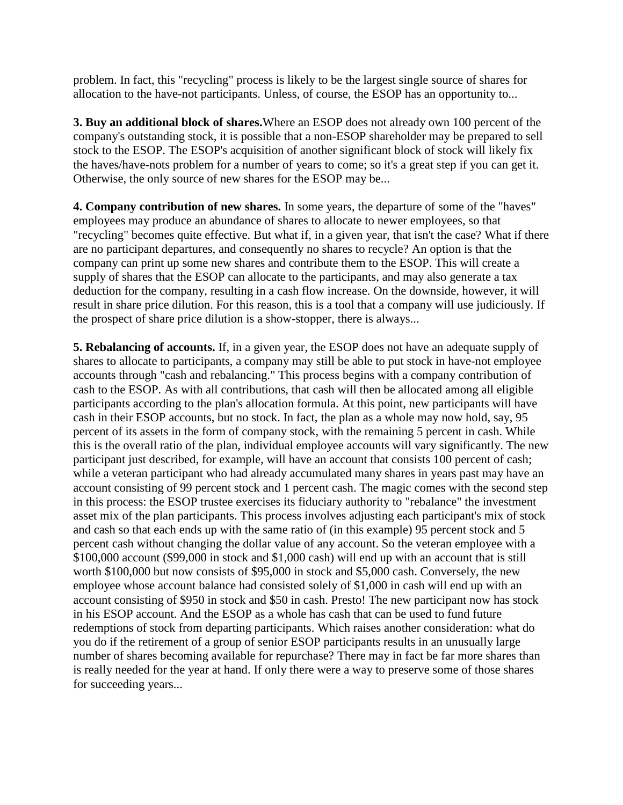problem. In fact, this "recycling" process is likely to be the largest single source of shares for allocation to the have-not participants. Unless, of course, the ESOP has an opportunity to...

**3. Buy an additional block of shares.**Where an ESOP does not already own 100 percent of the company's outstanding stock, it is possible that a non-ESOP shareholder may be prepared to sell stock to the ESOP. The ESOP's acquisition of another significant block of stock will likely fix the haves/have-nots problem for a number of years to come; so it's a great step if you can get it. Otherwise, the only source of new shares for the ESOP may be...

**4. Company contribution of new shares.** In some years, the departure of some of the "haves" employees may produce an abundance of shares to allocate to newer employees, so that "recycling" becomes quite effective. But what if, in a given year, that isn't the case? What if there are no participant departures, and consequently no shares to recycle? An option is that the company can print up some new shares and contribute them to the ESOP. This will create a supply of shares that the ESOP can allocate to the participants, and may also generate a tax deduction for the company, resulting in a cash flow increase. On the downside, however, it will result in share price dilution. For this reason, this is a tool that a company will use judiciously. If the prospect of share price dilution is a show-stopper, there is always...

**5. Rebalancing of accounts.** If, in a given year, the ESOP does not have an adequate supply of shares to allocate to participants, a company may still be able to put stock in have-not employee accounts through "cash and rebalancing." This process begins with a company contribution of cash to the ESOP. As with all contributions, that cash will then be allocated among all eligible participants according to the plan's allocation formula. At this point, new participants will have cash in their ESOP accounts, but no stock. In fact, the plan as a whole may now hold, say, 95 percent of its assets in the form of company stock, with the remaining 5 percent in cash. While this is the overall ratio of the plan, individual employee accounts will vary significantly. The new participant just described, for example, will have an account that consists 100 percent of cash; while a veteran participant who had already accumulated many shares in years past may have an account consisting of 99 percent stock and 1 percent cash. The magic comes with the second step in this process: the ESOP trustee exercises its fiduciary authority to "rebalance" the investment asset mix of the plan participants. This process involves adjusting each participant's mix of stock and cash so that each ends up with the same ratio of (in this example) 95 percent stock and 5 percent cash without changing the dollar value of any account. So the veteran employee with a \$100,000 account (\$99,000 in stock and \$1,000 cash) will end up with an account that is still worth \$100,000 but now consists of \$95,000 in stock and \$5,000 cash. Conversely, the new employee whose account balance had consisted solely of \$1,000 in cash will end up with an account consisting of \$950 in stock and \$50 in cash. Presto! The new participant now has stock in his ESOP account. And the ESOP as a whole has cash that can be used to fund future redemptions of stock from departing participants. Which raises another consideration: what do you do if the retirement of a group of senior ESOP participants results in an unusually large number of shares becoming available for repurchase? There may in fact be far more shares than is really needed for the year at hand. If only there were a way to preserve some of those shares for succeeding years...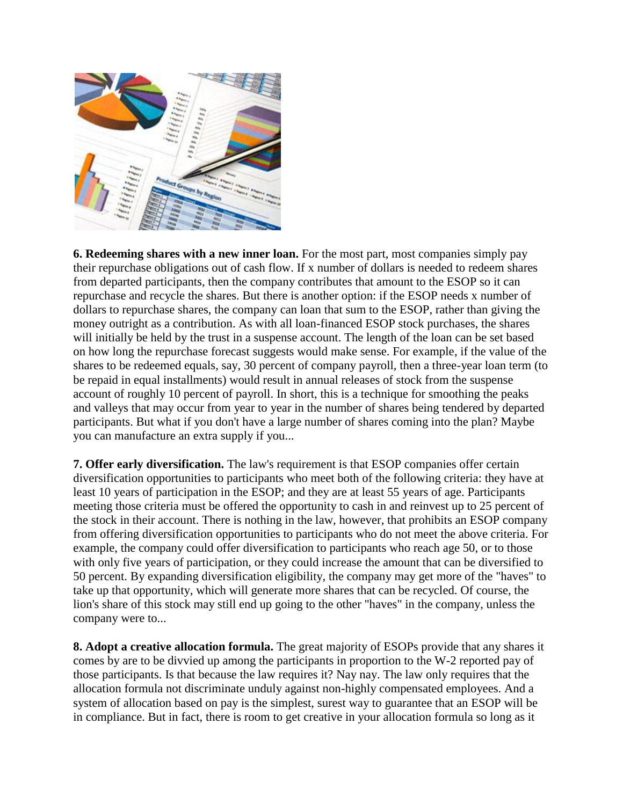

**6. Redeeming shares with a new inner loan.** For the most part, most companies simply pay their repurchase obligations out of cash flow. If x number of dollars is needed to redeem shares from departed participants, then the company contributes that amount to the ESOP so it can repurchase and recycle the shares. But there is another option: if the ESOP needs x number of dollars to repurchase shares, the company can loan that sum to the ESOP, rather than giving the money outright as a contribution. As with all loan-financed ESOP stock purchases, the shares will initially be held by the trust in a suspense account. The length of the loan can be set based on how long the repurchase forecast suggests would make sense. For example, if the value of the shares to be redeemed equals, say, 30 percent of company payroll, then a three-year loan term (to be repaid in equal installments) would result in annual releases of stock from the suspense account of roughly 10 percent of payroll. In short, this is a technique for smoothing the peaks and valleys that may occur from year to year in the number of shares being tendered by departed participants. But what if you don't have a large number of shares coming into the plan? Maybe you can manufacture an extra supply if you...

**7. Offer early diversification.** The law's requirement is that ESOP companies offer certain diversification opportunities to participants who meet both of the following criteria: they have at least 10 years of participation in the ESOP; and they are at least 55 years of age. Participants meeting those criteria must be offered the opportunity to cash in and reinvest up to 25 percent of the stock in their account. There is nothing in the law, however, that prohibits an ESOP company from offering diversification opportunities to participants who do not meet the above criteria. For example, the company could offer diversification to participants who reach age 50, or to those with only five years of participation, or they could increase the amount that can be diversified to 50 percent. By expanding diversification eligibility, the company may get more of the "haves" to take up that opportunity, which will generate more shares that can be recycled. Of course, the lion's share of this stock may still end up going to the other "haves" in the company, unless the company were to...

**8. Adopt a creative allocation formula.** The great majority of ESOPs provide that any shares it comes by are to be divvied up among the participants in proportion to the W-2 reported pay of those participants. Is that because the law requires it? Nay nay. The law only requires that the allocation formula not discriminate unduly against non-highly compensated employees. And a system of allocation based on pay is the simplest, surest way to guarantee that an ESOP will be in compliance. But in fact, there is room to get creative in your allocation formula so long as it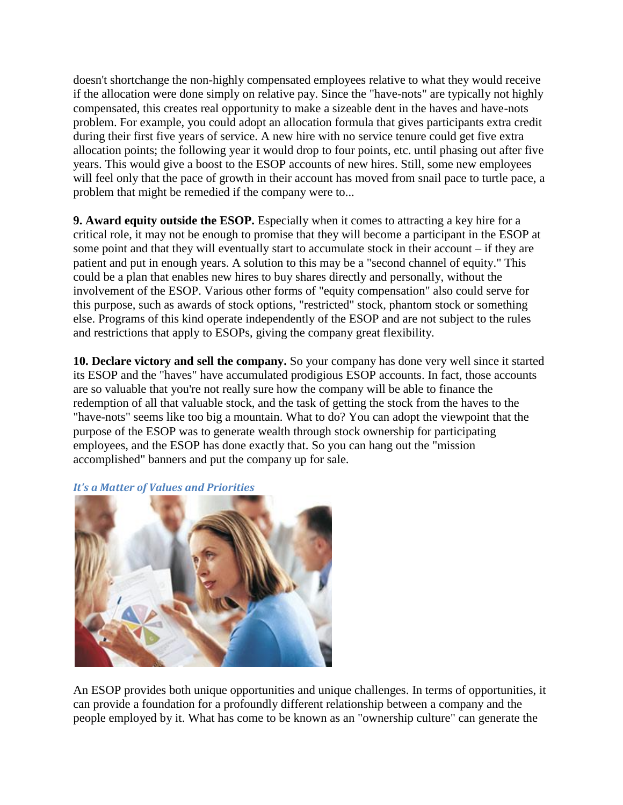doesn't shortchange the non-highly compensated employees relative to what they would receive if the allocation were done simply on relative pay. Since the "have-nots" are typically not highly compensated, this creates real opportunity to make a sizeable dent in the haves and have-nots problem. For example, you could adopt an allocation formula that gives participants extra credit during their first five years of service. A new hire with no service tenure could get five extra allocation points; the following year it would drop to four points, etc. until phasing out after five years. This would give a boost to the ESOP accounts of new hires. Still, some new employees will feel only that the pace of growth in their account has moved from snail pace to turtle pace, a problem that might be remedied if the company were to...

**9. Award equity outside the ESOP.** Especially when it comes to attracting a key hire for a critical role, it may not be enough to promise that they will become a participant in the ESOP at some point and that they will eventually start to accumulate stock in their account – if they are patient and put in enough years. A solution to this may be a "second channel of equity." This could be a plan that enables new hires to buy shares directly and personally, without the involvement of the ESOP. Various other forms of "equity compensation" also could serve for this purpose, such as awards of stock options, "restricted" stock, phantom stock or something else. Programs of this kind operate independently of the ESOP and are not subject to the rules and restrictions that apply to ESOPs, giving the company great flexibility.

**10. Declare victory and sell the company.** So your company has done very well since it started its ESOP and the "haves" have accumulated prodigious ESOP accounts. In fact, those accounts are so valuable that you're not really sure how the company will be able to finance the redemption of all that valuable stock, and the task of getting the stock from the haves to the "have-nots" seems like too big a mountain. What to do? You can adopt the viewpoint that the purpose of the ESOP was to generate wealth through stock ownership for participating employees, and the ESOP has done exactly that. So you can hang out the "mission accomplished" banners and put the company up for sale.



## *It's a Matter of Values and Priorities*

An ESOP provides both unique opportunities and unique challenges. In terms of opportunities, it can provide a foundation for a profoundly different relationship between a company and the people employed by it. What has come to be known as an "ownership culture" can generate the